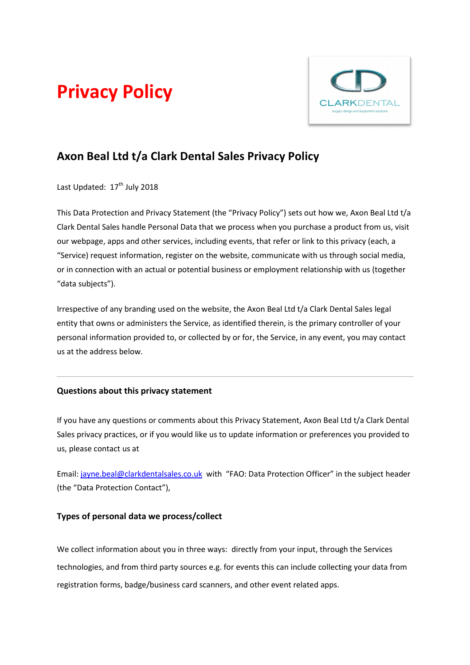# Privacy Policy



# Axon Beal Ltd t/a Clark Dental Sales Privacy Policy

Last Updated: 17<sup>th</sup> July 2018

This Data Protection and Privacy Statement (the "Privacy Policy") sets out how we, Axon Beal Ltd t/a Clark Dental Sales handle Personal Data that we process when you purchase a product from us, visit our webpage, apps and other services, including events, that refer or link to this privacy (each, a "Service) request information, register on the website, communicate with us through social media, or in connection with an actual or potential business or employment relationship with us (together "data subjects").

Irrespective of any branding used on the website, the Axon Beal Ltd t/a Clark Dental Sales legal entity that owns or administers the Service, as identified therein, is the primary controller of your personal information provided to, or collected by or for, the Service, in any event, you may contact us at the address below.

# Questions about this privacy statement

If you have any questions or comments about this Privacy Statement, Axon Beal Ltd t/a Clark Dental Sales privacy practices, or if you would like us to update information or preferences you provided to us, please contact us at

Email: jayne.beal@clarkdentalsales.co.uk with "FAO: Data Protection Officer" in the subject header (the "Data Protection Contact"),

# Types of personal data we process/collect

We collect information about you in three ways: directly from your input, through the Services We collect information about you in three ways: directly from your input, through the Services<br>technologies, and from third party sources e.g. for events this can include collecting your data from registration forms, badge/business card scanners, and other event related apps.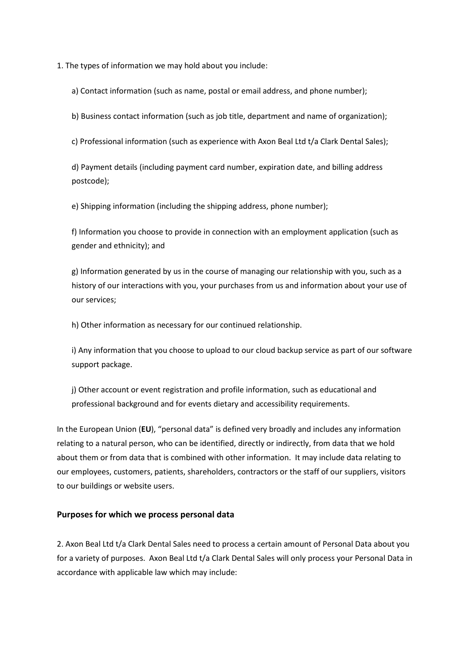1. The types of information we may hold about you include:

a) Contact information (such as name, postal or email address, and phone number);

b) Business contact information (such as job title, department and name of organization);

c) Professional information (such as experience with Axon Beal Ltd t/a Clark Dental Sales);

d) Payment details (including payment card number, expiration date, and billing address postcode);

e) Shipping information (including the shipping address, phone number);

f) Information you choose to provide in connection with an employment application (such as gender and ethnicity); and

g) Information generated by us in the course of managing our relationship with you, such as a history of our interactions with you, your purchases from us and information about your use of our services;

h) Other information as necessary for our continued relationship.

i) Any information that you choose to upload to our cloud backup service as part of our software support package.

j) Other account or event registration and profile information, such as educational and professional background and for events dietary and accessibility requirements.

In the European Union (EU), "personal data" is defined very broadly and includes any information relating to a natural person, who can be identified, directly or indirectly, from data that we hold about them or from data that is combined with other information. It may include data relating to our employees, customers, patients, shareholders, contractors or the staff of our suppliers, visitors to our buildings or website users.

## Purposes for which we process personal data

2. Axon Beal Ltd t/a Clark Dental Sales need to process a certain amount of Personal Data about you for a variety of purposes. Axon Beal Ltd t/a Clark Dental Sales will only process your Personal Data in accordance with applicable law which may include: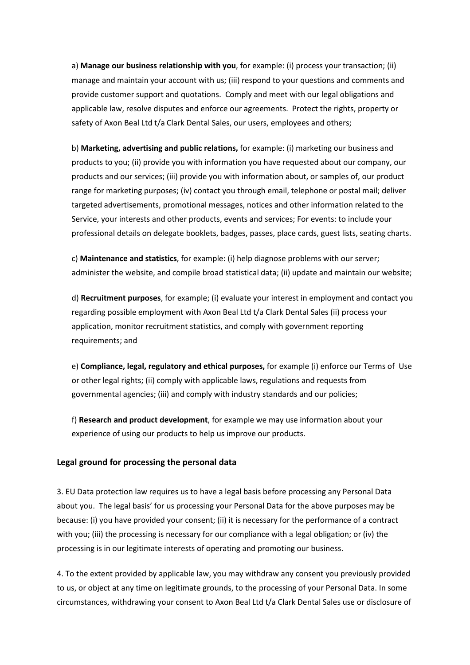a) Manage our business relationship with you, for example: (i) process your transaction; (ii) manage and maintain your account with us; (iii) respond to your questions and comments and provide customer support and quotations. Comply and meet with our legal obligations and applicable law, resolve disputes and enforce our agreements. Protect the rights, property or safety of Axon Beal Ltd t/a Clark Dental Sales, our users, employees and others;

b) Marketing, advertising and public relations, for example: (i) marketing our business and products to you; (ii) provide you with information you have requested about our company, our products and our services; (iii) provide you with information about, or samples of, our product range for marketing purposes; (iv) contact you through email, telephone or postal mail; deliver targeted advertisements, promotional messages, notices and other information related to the Service, your interests and other products, events and services; For events: to include your professional details on delegate booklets, badges, passes, place cards, guest lists, seating charts.

c) Maintenance and statistics, for example: (i) help diagnose problems with our server; administer the website, and compile broad statistical data; (ii) update and maintain our website;

d) Recruitment purposes, for example; (i) evaluate your interest in employment and contact you regarding possible employment with Axon Beal Ltd t/a Clark Dental Sales (ii) process your application, monitor recruitment statistics, and comply with government reporting requirements; and

e) Compliance, legal, regulatory and ethical purposes, for example (i) enforce our Terms of Use or other legal rights; (ii) comply with applicable laws, regulations and requests from governmental agencies; (iii) and comply with industry standards and our policies;

f) Research and product development, for example we may use information about your experience of using our products to help us improve our products.

#### Legal ground for processing the personal data

3. EU Data protection law requires us to have a legal basis before processing any Personal Data about you. The legal basis' for us processing your Personal Data for the above purposes may be because: (i) you have provided your consent; (ii) it is necessary for the performance of a contract with you; (iii) the processing is necessary for our compliance with a legal obligation; or (iv) the processing is in our legitimate interests of operating and promoting our business.

4. To the extent provided by applicable law, you may withdraw any consent you previously provided to us, or object at any time on legitimate grounds, to the processing of your Personal Data. In some circumstances, withdrawing your consent to Axon Beal Ltd t/a Clark Dental Sales use or disclosure of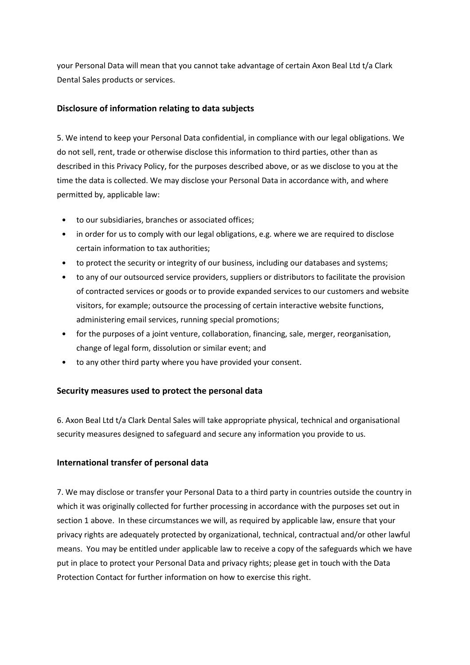your Personal Data will mean that you cannot take advantage of certain Axon Beal Ltd t/a Clark Dental Sales products or services.

# Disclosure of information relating to data subjects

5. We intend to keep your Personal Data confidential, in compliance with our legal obligations. We do not sell, rent, trade or otherwise disclose this information to third parties, other than as described in this Privacy Policy, for the purposes described above, or as we disclose to you at the time the data is collected. We may disclose your Personal Data in accordance with, and where permitted by, applicable law:

- to our subsidiaries, branches or associated offices;
- in order for us to comply with our legal obligations, e.g. where we are required to disclose certain information to tax authorities;
- to protect the security or integrity of our business, including our databases and systems;
- to any of our outsourced service providers, suppliers or distributors to facilitate the provision of contracted services or goods or to provide expanded services to our customers and website visitors, for example; outsource the processing of certain interactive website functions, administering email services, running special promotions;
- for the purposes of a joint venture, collaboration, financing, sale, merger, reorganisation, change of legal form, dissolution or similar event; and
- to any other third party where you have provided your consent.

# Security measures used to protect the personal data

6. Axon Beal Ltd t/a Clark Dental Sales will take appropriate physical, technical and organisational security measures designed to safeguard and secure any information you provide to us.

## International transfer of personal data

7. We may disclose or transfer your Personal Data to a third party in countries outside the country in which it was originally collected for further processing in accordance with the purposes set out in section 1 above. In these circumstances we will, as required by applicable law, ensure that your privacy rights are adequately protected by organizational, technical, contractual and/or other lawful means. You may be entitled under applicable law to receive a copy of the safeguards which we have put in place to protect your Personal Data and privacy rights; please get in touch with the Data Protection Contact for further information on how to exercise this right.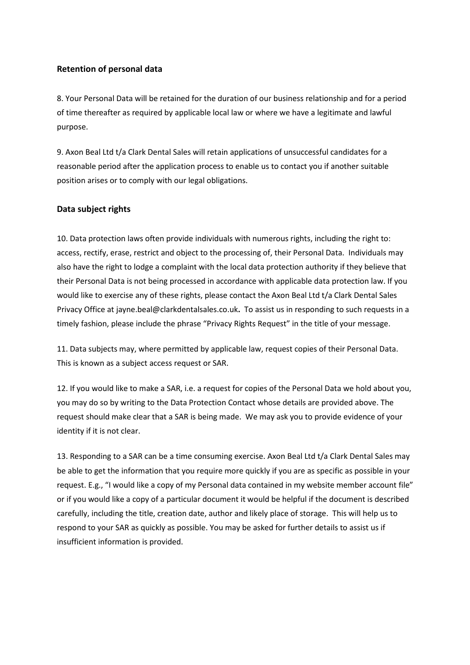## Retention of personal data

8. Your Personal Data will be retained for the duration of our business relationship and for a period of time thereafter as required by applicable local law or where we have a legitimate and lawful purpose.

9. Axon Beal Ltd t/a Clark Dental Sales will retain applications of unsuccessful candidates for a reasonable period after the application process to enable us to contact you if another suitable position arises or to comply with our legal obligations.

## Data subject rights

10. Data protection laws often provide individuals with numerous rights, including the right to: access, rectify, erase, restrict and object to the processing of, their Personal Data. Individuals may also have the right to lodge a complaint with the local data protection authority if they believe that their Personal Data is not being processed in accordance with applicable data protection law. If you would like to exercise any of these rights, please contact the Axon Beal Ltd t/a Clark Dental Sales Privacy Office at jayne.beal@clarkdentalsales.co.uk. To assist us in responding to such requests in a timely fashion, please include the phrase "Privacy Rights Request" in the title of your message.

11. Data subjects may, where permitted by applicable law, request copies of their Personal Data. This is known as a subject access request or SAR.

12. If you would like to make a SAR, i.e. a request for copies of the Personal Data we hold about you, you may do so by writing to the Data Protection Contact whose details are provided above. The request should make clear that a SAR is being made. We may ask you to provide evidence of your identity if it is not clear.

13. Responding to a SAR can be a time consuming exercise. Axon Beal Ltd t/a Clark Dental Sales may be able to get the information that you require more quickly if you are as specific as possible in your request. E.g., "I would like a copy of my Personal data contained in my website member account file" or if you would like a copy of a particular document it would be helpful if the document is described carefully, including the title, creation date, author and likely place of storage. This will help us to respond to your SAR as quickly as possible. You may be asked for further details to assist us if insufficient information is provided.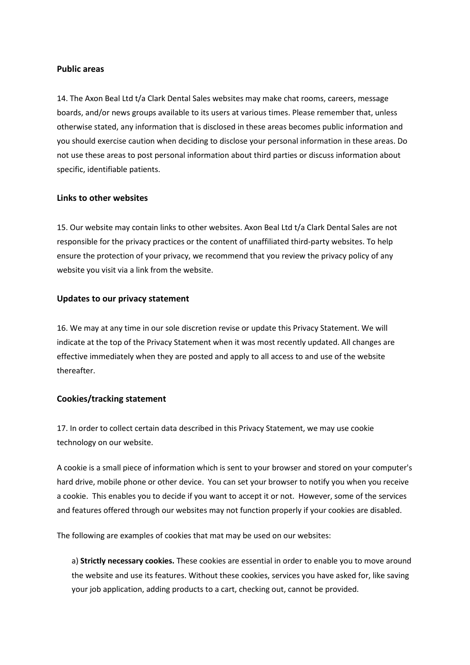#### Public areas

14. The Axon Beal Ltd t/a Clark Dental Sales websites may make chat rooms, careers, message boards, and/or news groups available to its users at various times. Please remember that, unless otherwise stated, any information that is disclosed in these areas becomes public information and you should exercise caution when deciding to disclose your personal information in these areas. Do not use these areas to post personal information about third parties or discuss information about specific, identifiable patients.

#### Links to other websites

15. Our website may contain links to other websites. Axon Beal Ltd t/a Clark Dental Sales are not responsible for the privacy practices or the content of unaffiliated third-party websites. To help ensure the protection of your privacy, we recommend that you review the privacy policy of any website you visit via a link from the website.

#### Updates to our privacy statement

16. We may at any time in our sole discretion revise or update this Privacy Statement. We will indicate at the top of the Privacy Statement when it was most recently updated. All changes are effective immediately when they are posted and apply to all access to and use of the website thereafter.

#### Cookies/tracking statement

17. In order to collect certain data described in this Privacy Statement, we may use cookie technology on our website.

A cookie is a small piece of information which is sent to your browser and stored on your computer's hard drive, mobile phone or other device. You can set your browser to notify you when you receive a cookie. This enables you to decide if you want to accept it or not. However, some of the services and features offered through our websites may not function properly if your cookies are disabled.

The following are examples of cookies that mat may be used on our websites:

a) Strictly necessary cookies. These cookies are essential in order to enable you to move around the website and use its features. Without these cookies, services you have asked for, like saving your job application, adding products to a cart, checking out, cannot be provided.